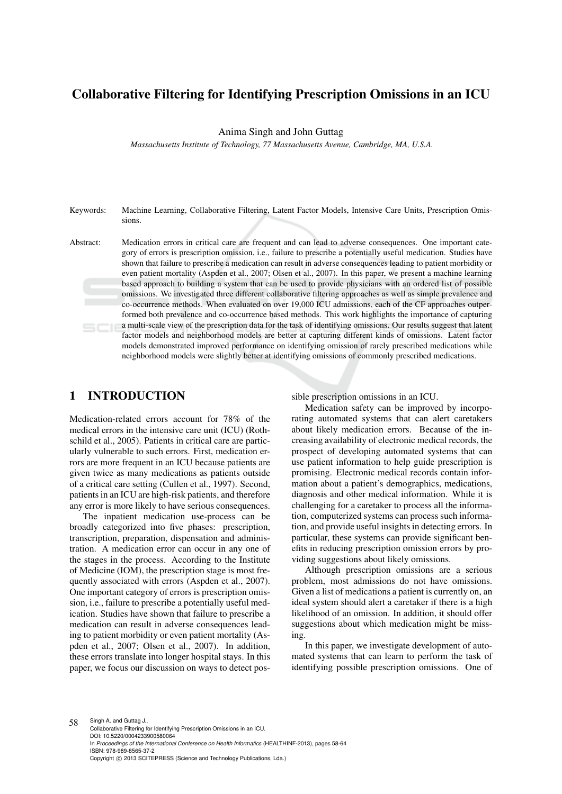# Collaborative Filtering for Identifying Prescription Omissions in an ICU

Anima Singh and John Guttag

*Massachusetts Institute of Technology, 77 Massachusetts Avenue, Cambridge, MA, U.S.A.*

Keywords: Machine Learning, Collaborative Filtering, Latent Factor Models, Intensive Care Units, Prescription Omissions.

Abstract: Medication errors in critical care are frequent and can lead to adverse consequences. One important category of errors is prescription omission, i.e., failure to prescribe a potentially useful medication. Studies have shown that failure to prescribe a medication can result in adverse consequences leading to patient morbidity or even patient mortality (Aspden et al., 2007; Olsen et al., 2007). In this paper, we present a machine learning based approach to building a system that can be used to provide physicians with an ordered list of possible omissions. We investigated three different collaborative filtering approaches as well as simple prevalence and co-occurrence methods. When evaluated on over 19,000 ICU admissions, each of the CF approaches outperformed both prevalence and co-occurrence based methods. This work highlights the importance of capturing a multi-scale view of the prescription data for the task of identifying omissions. Our results suggest that latent factor models and neighborhood models are better at capturing different kinds of omissions. Latent factor models demonstrated improved performance on identifying omission of rarely prescribed medications while neighborhood models were slightly better at identifying omissions of commonly prescribed medications.

## 1 INTRODUCTION

Medication-related errors account for 78% of the medical errors in the intensive care unit (ICU) (Rothschild et al., 2005). Patients in critical care are particularly vulnerable to such errors. First, medication errors are more frequent in an ICU because patients are given twice as many medications as patients outside of a critical care setting (Cullen et al., 1997). Second, patients in an ICU are high-risk patients, and therefore any error is more likely to have serious consequences.

The inpatient medication use-process can be broadly categorized into five phases: prescription, transcription, preparation, dispensation and administration. A medication error can occur in any one of the stages in the process. According to the Institute of Medicine (IOM), the prescription stage is most frequently associated with errors (Aspden et al., 2007). One important category of errors is prescription omission, i.e., failure to prescribe a potentially useful medication. Studies have shown that failure to prescribe a medication can result in adverse consequences leading to patient morbidity or even patient mortality (Aspden et al., 2007; Olsen et al., 2007). In addition, these errors translate into longer hospital stays. In this paper, we focus our discussion on ways to detect possible prescription omissions in an ICU.

Medication safety can be improved by incorporating automated systems that can alert caretakers about likely medication errors. Because of the increasing availability of electronic medical records, the prospect of developing automated systems that can use patient information to help guide prescription is promising. Electronic medical records contain information about a patient's demographics, medications, diagnosis and other medical information. While it is challenging for a caretaker to process all the information, computerized systems can process such information, and provide useful insights in detecting errors. In particular, these systems can provide significant benefits in reducing prescription omission errors by providing suggestions about likely omissions.

Although prescription omissions are a serious problem, most admissions do not have omissions. Given a list of medications a patient is currently on, an ideal system should alert a caretaker if there is a high likelihood of an omission. In addition, it should offer suggestions about which medication might be missing.

In this paper, we investigate development of automated systems that can learn to perform the task of identifying possible prescription omissions. One of

58 Singh A. and Guttag J.. Collaborative Filtering for Identifying Prescription Omissions in an ICU. DOI: 10.5220/0004233900580064 In *Proceedings of the International Conference on Health Informatics* (HEALTHINF-2013), pages 58-64 ISBN: 978-989-8565-37-2 Copyright © 2013 SCITEPRESS (Science and Technology Publications, Lda.)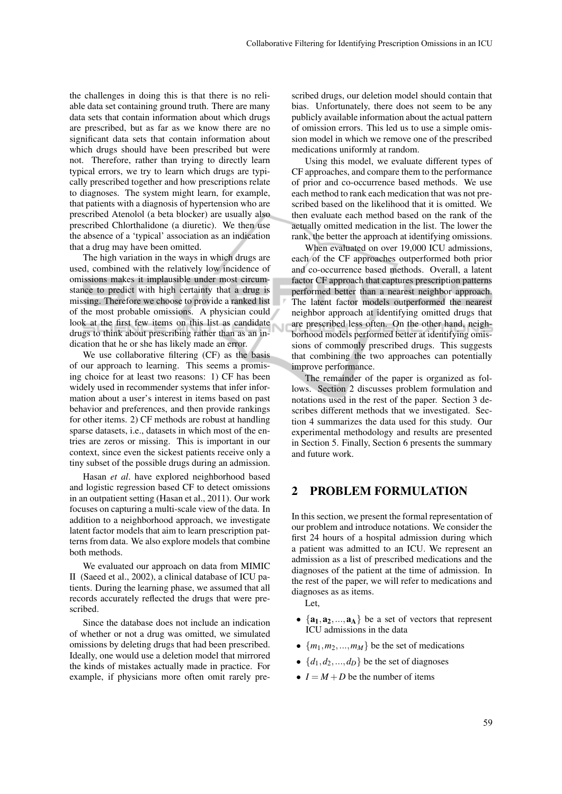the challenges in doing this is that there is no reliable data set containing ground truth. There are many data sets that contain information about which drugs are prescribed, but as far as we know there are no significant data sets that contain information about which drugs should have been prescribed but were not. Therefore, rather than trying to directly learn typical errors, we try to learn which drugs are typically prescribed together and how prescriptions relate to diagnoses. The system might learn, for example, that patients with a diagnosis of hypertension who are prescribed Atenolol (a beta blocker) are usually also prescribed Chlorthalidone (a diuretic). We then use the absence of a 'typical' association as an indication that a drug may have been omitted.

The high variation in the ways in which drugs are used, combined with the relatively low incidence of omissions makes it implausible under most circumstance to predict with high certainty that a drug is missing. Therefore we choose to provide a ranked list of the most probable omissions. A physician could look at the first few items on this list as candidate drugs to think about prescribing rather than as an indication that he or she has likely made an error.

We use collaborative filtering (CF) as the basis of our approach to learning. This seems a promising choice for at least two reasons: 1) CF has been widely used in recommender systems that infer information about a user's interest in items based on past behavior and preferences, and then provide rankings for other items. 2) CF methods are robust at handling sparse datasets, i.e., datasets in which most of the entries are zeros or missing. This is important in our context, since even the sickest patients receive only a tiny subset of the possible drugs during an admission.

Hasan *et al*. have explored neighborhood based and logistic regression based CF to detect omissions in an outpatient setting (Hasan et al., 2011). Our work focuses on capturing a multi-scale view of the data. In addition to a neighborhood approach, we investigate latent factor models that aim to learn prescription patterns from data. We also explore models that combine both methods.

We evaluated our approach on data from MIMIC II (Saeed et al., 2002), a clinical database of ICU patients. During the learning phase, we assumed that all records accurately reflected the drugs that were prescribed.

Since the database does not include an indication of whether or not a drug was omitted, we simulated omissions by deleting drugs that had been prescribed. Ideally, one would use a deletion model that mirrored the kinds of mistakes actually made in practice. For example, if physicians more often omit rarely pre-

scribed drugs, our deletion model should contain that bias. Unfortunately, there does not seem to be any publicly available information about the actual pattern of omission errors. This led us to use a simple omission model in which we remove one of the prescribed medications uniformly at random.

Using this model, we evaluate different types of CF approaches, and compare them to the performance of prior and co-occurrence based methods. We use each method to rank each medication that was not prescribed based on the likelihood that it is omitted. We then evaluate each method based on the rank of the actually omitted medication in the list. The lower the rank, the better the approach at identifying omissions.

When evaluated on over 19,000 ICU admissions, each of the CF approaches outperformed both prior and co-occurrence based methods. Overall, a latent factor CF approach that captures prescription patterns performed better than a nearest neighbor approach. The latent factor models outperformed the nearest neighbor approach at identifying omitted drugs that are prescribed less often. On the other hand, neighborhood models performed better at identifying omissions of commonly prescribed drugs. This suggests that combining the two approaches can potentially improve performance.

The remainder of the paper is organized as follows. Section 2 discusses problem formulation and notations used in the rest of the paper. Section 3 describes different methods that we investigated. Section 4 summarizes the data used for this study. Our experimental methodology and results are presented in Section 5. Finally, Section 6 presents the summary and future work.

### 2 PROBLEM FORMULATION

In this section, we present the formal representation of our problem and introduce notations. We consider the first 24 hours of a hospital admission during which a patient was admitted to an ICU. We represent an admission as a list of prescribed medications and the diagnoses of the patient at the time of admission. In the rest of the paper, we will refer to medications and diagnoses as as items.

Let,

- $\{a_1, a_2, ..., a_A\}$  be a set of vectors that represent ICU admissions in the data
- ${m_1, m_2, ..., m_M}$  be the set of medications
- $\{d_1, d_2, ..., d_D\}$  be the set of diagnoses
- $I = M + D$  be the number of items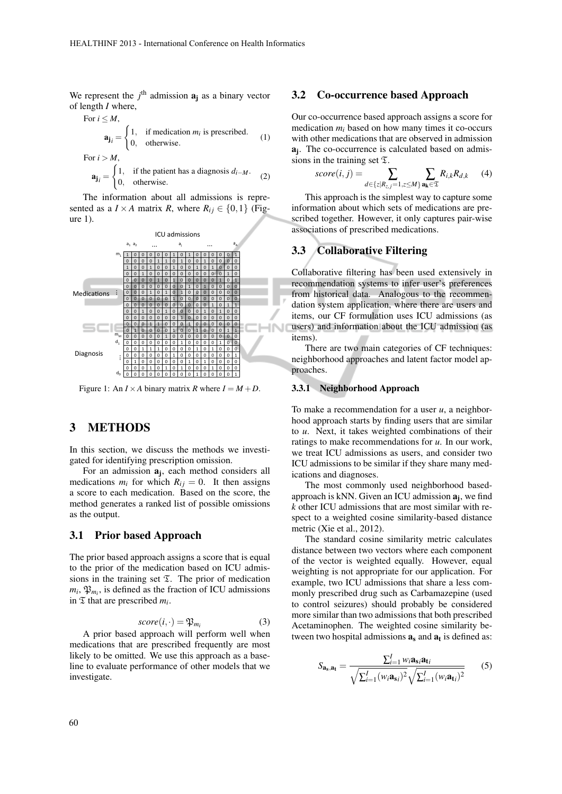We represent the  $j<sup>th</sup>$  admission  $a_j$  as a binary vector of length *I* where,

For  $i \leq M$ ,

$$
\mathbf{a}_{j_i} = \begin{cases} 1, & \text{if medication } m_i \text{ is prescribed.} \\ 0, & \text{otherwise.} \end{cases} \tag{1}
$$

For 
$$
i > M
$$
,  
\n
$$
\mathbf{a}_{\mathbf{j}_i} = \begin{cases} 1, & \text{if the patient has a diagnosis } d_{i-M}. \\ 0, & \text{otherwise.} \end{cases}
$$
\n(2)

The information about all admissions is represented as a  $I \times A$  matrix *R*, where  $R_{ij} \in \{0,1\}$  (Figure 1).



Figure 1: An  $I \times A$  binary matrix *R* where  $I = M + D$ .

## 3 METHODS

In this section, we discuss the methods we investigated for identifying prescription omission.

For an admission  $a_j$ , each method considers all medications  $m_i$  for which  $R_{ij} = 0$ . It then assigns a score to each medication. Based on the score, the method generates a ranked list of possible omissions as the output.

#### 3.1 Prior based Approach

The prior based approach assigns a score that is equal to the prior of the medication based on ICU admissions in the training set  $\Sigma$ . The prior of medication  $m_i$ ,  $\mathfrak{P}_{m_i}$ , is defined as the fraction of ICU admissions in  $\mathfrak T$  that are prescribed  $m_i$ .

$$
score(i, \cdot) = \mathfrak{P}_{m_i} \tag{3}
$$

A prior based approach will perform well when medications that are prescribed frequently are most likely to be omitted. We use this approach as a baseline to evaluate performance of other models that we investigate.

#### 3.2 Co-occurrence based Approach

Our co-occurrence based approach assigns a score for medication *m<sup>i</sup>* based on how many times it co-occurs with other medications that are observed in admission aj . The co-occurrence is calculated based on admissions in the training set  $\mathfrak{T}$ .

$$
score(i, j) = \sum_{d \in \{z | R_{z,j} = 1, z \le M\}} \sum_{\mathbf{a_k} \in \mathfrak{T}} R_{i,k} R_{d,k} \qquad (4)
$$

This approach is the simplest way to capture some information about which sets of medications are prescribed together. However, it only captures pair-wise associations of prescribed medications.

### 3.3 Collaborative Filtering

Collaborative filtering has been used extensively in recommendation systems to infer user's preferences from historical data. Analogous to the recommendation system application, where there are users and items, our CF formulation uses ICU admissions (as users) and information about the ICU admission (as items).

There are two main categories of CF techniques: neighborhood approaches and latent factor model approaches.

#### 3.3.1 Neighborhood Approach

To make a recommendation for a user *u*, a neighborhood approach starts by finding users that are similar to *u*. Next, it takes weighted combinations of their ratings to make recommendations for *u*. In our work, we treat ICU admissions as users, and consider two ICU admissions to be similar if they share many medications and diagnoses.

The most commonly used neighborhood basedapproach is kNN. Given an ICU admission  $a_j$ , we find *k* other ICU admissions that are most similar with respect to a weighted cosine similarity-based distance metric (Xie et al., 2012).

The standard cosine similarity metric calculates distance between two vectors where each component of the vector is weighted equally. However, equal weighting is not appropriate for our application. For example, two ICU admissions that share a less commonly prescribed drug such as Carbamazepine (used to control seizures) should probably be considered more similar than two admissions that both prescribed Acetaminophen. The weighted cosine similarity between two hospital admissions  $\mathbf{a}_s$  and  $\mathbf{a}_t$  is defined as:

$$
S_{\mathbf{a}_{s},\mathbf{a}_{t}} = \frac{\sum_{i=1}^{I} w_{i} \mathbf{a}_{s} \cdot \mathbf{a}_{t}}{\sqrt{\sum_{i=1}^{I} (w_{i} \mathbf{a}_{s} \cdot)^{2}} \sqrt{\sum_{i=1}^{I} (w_{i} \mathbf{a}_{t} \cdot)^{2}}}
$$
(5)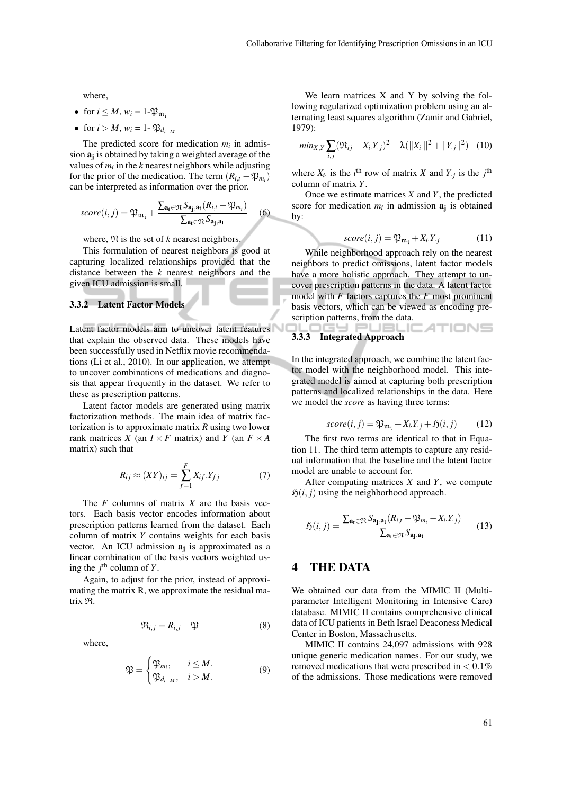where,

- for  $i \leq M$ ,  $w_i = 1-\mathfrak{B}_{m_i}$
- for  $i > M$ ,  $w_i = 1 \mathfrak{P}_{d_{i-M}}$

The predicted score for medication  $m_i$  in admission  $a_j$  is obtained by taking a weighted average of the values of  $m_i$  in the  $k$  nearest neighbors while adjusting for the prior of the medication. The term  $(R_{i,t} - \mathfrak{P}_{m_i})$ can be interpreted as information over the prior.

$$
score(i, j) = \mathfrak{P}_{m_i} + \frac{\sum_{a_t \in \mathfrak{N}} S_{a_j, a_t} (R_{i,t} - \mathfrak{P}_{m_i})}{\sum_{a_t \in \mathfrak{N}} S_{a_j, a_t}}
$$
(6)

where,  $\mathfrak{N}$  is the set of *k* nearest neighbors.

This formulation of nearest neighbors is good at capturing localized relationships provided that the distance between the *k* nearest neighbors and the given ICU admission is small.

#### 3.3.2 Latent Factor Models

Latent factor models aim to uncover latent features that explain the observed data. These models have been successfully used in Netflix movie recommendations (Li et al., 2010). In our application, we attempt to uncover combinations of medications and diagnosis that appear frequently in the dataset. We refer to these as prescription patterns.

Latent factor models are generated using matrix factorization methods. The main idea of matrix factorization is to approximate matrix *R* using two lower rank matrices *X* (an  $I \times F$  matrix) and *Y* (an  $F \times A$ matrix) such that

$$
R_{ij} \approx (XY)_{ij} = \sum_{f=1}^{F} X_{if}.Y_{fj} \tag{7}
$$

The *F* columns of matrix *X* are the basis vectors. Each basis vector encodes information about prescription patterns learned from the dataset. Each column of matrix *Y* contains weights for each basis vector. An ICU admission  $a_j$  is approximated as a linear combination of the basis vectors weighted using the  $j^{\text{th}}$  column of  $Y$ .

Again, to adjust for the prior, instead of approximating the matrix R, we approximate the residual matrix R.

$$
\mathfrak{R}_{i,j} = R_{i,j} - \mathfrak{P}
$$
 (8)

where,

$$
\mathfrak{P} = \begin{cases} \mathfrak{P}_{m_i}, & i \leq M. \\ \mathfrak{P}_{d_{i-M}}, & i > M. \end{cases} \tag{9}
$$

We learn matrices X and Y by solving the following regularized optimization problem using an alternating least squares algorithm (Zamir and Gabriel, 1979):

$$
min_{X,Y} \sum_{i,j} (\Re_{ij} - X_i.Y_j)^2 + \lambda (||X_i||^2 + ||Y_j||^2) \quad (10)
$$

where  $X_i$  is the *i*<sup>th</sup> row of matrix *X* and  $Y_j$  is the *j*<sup>th</sup> column of matrix *Y*.

Once we estimate matrices *X* and *Y*, the predicted score for medication  $m_i$  in admission  $a_j$  is obtained by:

$$
score(i, j) = \mathfrak{P}_{m_i} + X_i Y_j \tag{11}
$$

While neighborhood approach rely on the nearest neighbors to predict omissions, latent factor models have a more holistic approach. They attempt to uncover prescription patterns in the data. A latent factor model with *F* factors captures the *F* most prominent basis vectors, which can be viewed as encoding prescription patterns, from the data.

#### 3.3.3 Integrated Approach UB

In the integrated approach, we combine the latent factor model with the neighborhood model. This integrated model is aimed at capturing both prescription patterns and localized relationships in the data. Here we model the *score* as having three terms:

$$
score(i, j) = \mathfrak{P}_{\mathfrak{m}_i} + X_i Y_j + \mathfrak{H}(i, j) \tag{12}
$$

The first two terms are identical to that in Equation 11. The third term attempts to capture any residual information that the baseline and the latent factor model are unable to account for.

After computing matrices *X* and *Y*, we compute  $\mathfrak{H}(i, j)$  using the neighborhood approach.

$$
\mathfrak{H}(i,j) = \frac{\sum_{\mathbf{a_t} \in \mathfrak{N}} S_{\mathbf{a_j},\mathbf{a_t}} (R_{i,t} - \mathfrak{P}_{m_i} - X_i.Y_{.j})}{\sum_{\mathbf{a_t} \in \mathfrak{N}} S_{\mathbf{a_j},\mathbf{a_t}}}
$$
(13)

### 4 THE DATA

We obtained our data from the MIMIC II (Multiparameter Intelligent Monitoring in Intensive Care) database. MIMIC II contains comprehensive clinical data of ICU patients in Beth Israel Deaconess Medical Center in Boston, Massachusetts.

MIMIC II contains 24,097 admissions with 928 unique generic medication names. For our study, we removed medications that were prescribed in  $< 0.1\%$ of the admissions. Those medications were removed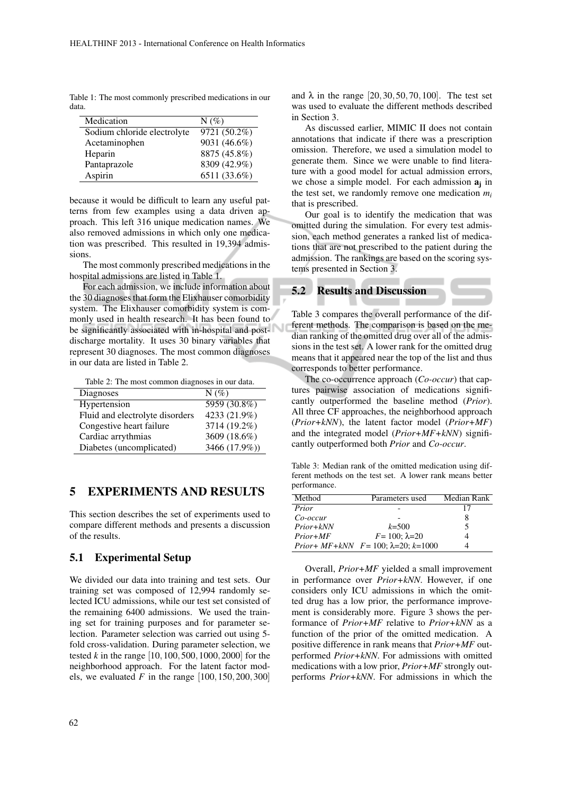Table 1: The most commonly prescribed medications in our data.

| Medication                  | $N(\%)$      |
|-----------------------------|--------------|
| Sodium chloride electrolyte | 9721 (50.2%) |
| Acetaminophen               | 9031 (46.6%) |
| Heparin                     | 8875 (45.8%) |
| Pantaprazole                | 8309 (42.9%) |
| Aspirin                     | 6511 (33.6%) |

because it would be difficult to learn any useful patterns from few examples using a data driven approach. This left 316 unique medication names. We also removed admissions in which only one medication was prescribed. This resulted in 19,394 admissions.

The most commonly prescribed medications in the hospital admissions are listed in Table 1.

For each admission, we include information about the 30 diagnoses that form the Elixhauser comorbidity system. The Elixhauser comorbidity system is commonly used in health research. It has been found to be significantly associated with in-hospital and postdischarge mortality. It uses 30 binary variables that represent 30 diagnoses. The most common diagnoses in our data are listed in Table 2.

Table 2: The most common diagnoses in our data.

| Diagnoses                       | $N(\%)$                    |
|---------------------------------|----------------------------|
| Hypertension                    | $\overline{5959} (30.8\%)$ |
| Fluid and electrolyte disorders | 4233 (21.9%)               |
| Congestive heart failure        | 3714 (19.2%)               |
| Cardiac arrythmias              | 3609 (18.6%)               |
| Diabetes (uncomplicated)        | 3466 (17.9%))              |

### 5 EXPERIMENTS AND RESULTS

This section describes the set of experiments used to compare different methods and presents a discussion of the results.

### 5.1 Experimental Setup

We divided our data into training and test sets. Our training set was composed of 12,994 randomly selected ICU admissions, while our test set consisted of the remaining 6400 admissions. We used the training set for training purposes and for parameter selection. Parameter selection was carried out using 5 fold cross-validation. During parameter selection, we tested *k* in the range  $[10, 100, 500, 1000, 2000]$  for the neighborhood approach. For the latent factor models, we evaluated *F* in the range  $[100, 150, 200, 300]$ 

and  $\lambda$  in the range [20, 30, 50, 70, 100]. The test set was used to evaluate the different methods described in Section 3.

As discussed earlier, MIMIC II does not contain annotations that indicate if there was a prescription omission. Therefore, we used a simulation model to generate them. Since we were unable to find literature with a good model for actual admission errors, we chose a simple model. For each admission  $a_j$  in the test set, we randomly remove one medication *m<sup>i</sup>* that is prescribed.

Our goal is to identify the medication that was omitted during the simulation. For every test admission, each method generates a ranked list of medications that are not prescribed to the patient during the admission. The rankings are based on the scoring systems presented in Section 3.

#### 5.2 Results and Discussion

Table 3 compares the overall performance of the different methods. The comparison is based on the median ranking of the omitted drug over all of the admissions in the test set. A lower rank for the omitted drug means that it appeared near the top of the list and thus corresponds to better performance.

The co-occurrence approach (*Co-occur*) that captures pairwise association of medications significantly outperformed the baseline method (*Prior*). All three CF approaches, the neighborhood approach (*Prior+kNN*), the latent factor model (*Prior+MF*) and the integrated model (*Prior+MF+kNN*) significantly outperformed both *Prior* and *Co-occur*.

Table 3: Median rank of the omitted medication using different methods on the test set. A lower rank means better performance.

| Method    | Parameters used                                       | Median Rank |
|-----------|-------------------------------------------------------|-------------|
| Prior     |                                                       | 17          |
| Co-occur  |                                                       |             |
| Prior+kNN | $k = 500$                                             | 5           |
| Prior+MF  | $F = 100$ ; $\lambda = 20$                            |             |
|           | <i>Prior+ MF+kNN F=</i> 100; $\lambda$ =20; $k$ =1000 |             |
|           |                                                       |             |

Overall, *Prior+MF* yielded a small improvement in performance over *Prior+kNN*. However, if one considers only ICU admissions in which the omitted drug has a low prior, the performance improvement is considerably more. Figure 3 shows the performance of *Prior+MF* relative to *Prior+kNN* as a function of the prior of the omitted medication. A positive difference in rank means that *Prior+MF* outperformed *Prior+kNN*. For admissions with omitted medications with a low prior, *Prior+MF* strongly outperforms *Prior+kNN*. For admissions in which the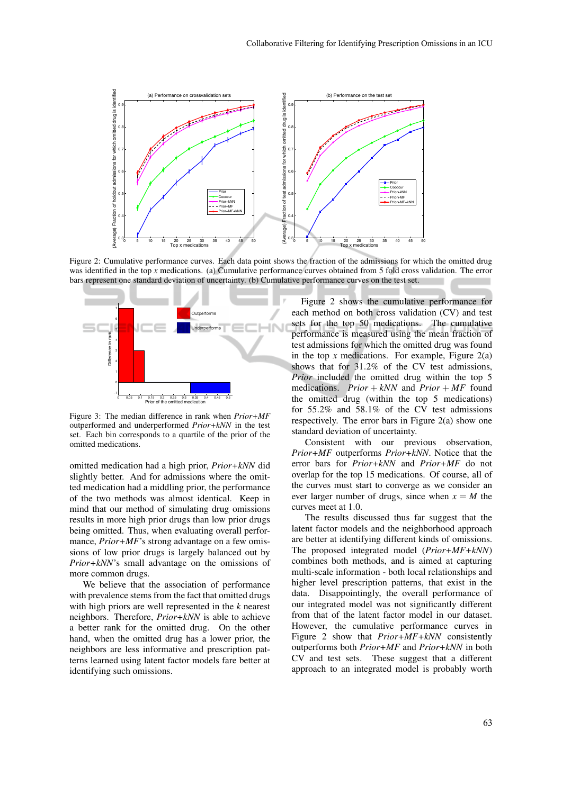

Figure 2: Cumulative performance curves. Each data point shows the fraction of the admissions for which the omitted drug was identified in the top *x* medications. (a) Cumulative performance curves obtained from 5 fold cross validation. The error bars represent one standard deviation of uncertainty. (b) Cumulative performance curves on the test set.



Figure 3: The median difference in rank when *Prior+MF* outperformed and underperformed *Prior+kNN* in the test set. Each bin corresponds to a quartile of the prior of the omitted medications.

omitted medication had a high prior, *Prior+kNN* did slightly better. And for admissions where the omitted medication had a middling prior, the performance of the two methods was almost identical. Keep in mind that our method of simulating drug omissions results in more high prior drugs than low prior drugs being omitted. Thus, when evaluating overall performance, *Prior+MF*'s strong advantage on a few omissions of low prior drugs is largely balanced out by *Prior+kNN*'s small advantage on the omissions of more common drugs.

We believe that the association of performance with prevalence stems from the fact that omitted drugs with high priors are well represented in the *k* nearest neighbors. Therefore, *Prior+kNN* is able to achieve a better rank for the omitted drug. On the other hand, when the omitted drug has a lower prior, the neighbors are less informative and prescription patterns learned using latent factor models fare better at identifying such omissions.

Figure 2 shows the cumulative performance for each method on both cross validation (CV) and test sets for the top 50 medications. The cumulative performance is measured using the mean fraction of test admissions for which the omitted drug was found in the top  $x$  medications. For example, Figure 2(a) shows that for 31.2% of the CV test admissions, *Prior* included the omitted drug within the top 5 medications. *Prior* +  $kNN$  and *Prior* +  $MF$  found the omitted drug (within the top 5 medications) for 55.2% and 58.1% of the CV test admissions respectively. The error bars in Figure 2(a) show one standard deviation of uncertainty.

Consistent with our previous observation, *Prior+MF* outperforms *Prior+kNN*. Notice that the error bars for *Prior+kNN* and *Prior+MF* do not overlap for the top 15 medications. Of course, all of the curves must start to converge as we consider an ever larger number of drugs, since when  $x = M$  the curves meet at 1.0.

The results discussed thus far suggest that the latent factor models and the neighborhood approach are better at identifying different kinds of omissions. The proposed integrated model (*Prior+MF+kNN*) combines both methods, and is aimed at capturing multi-scale information - both local relationships and higher level prescription patterns, that exist in the data. Disappointingly, the overall performance of our integrated model was not significantly different from that of the latent factor model in our dataset. However, the cumulative performance curves in Figure 2 show that *Prior+MF+kNN* consistently outperforms both *Prior+MF* and *Prior+kNN* in both CV and test sets. These suggest that a different approach to an integrated model is probably worth